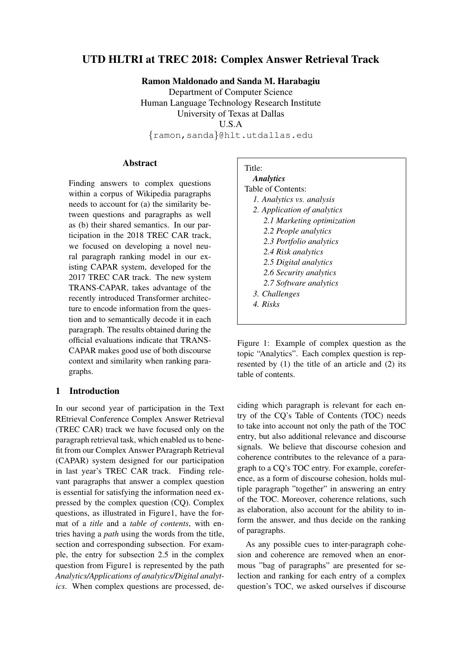# UTD HLTRI at TREC 2018: Complex Answer Retrieval Track

Ramon Maldonado and Sanda M. Harabagiu Department of Computer Science Human Language Technology Research Institute University of Texas at Dallas U.S.A {ramon,sanda}@hlt.utdallas.edu

#### **Abstract**

Finding answers to complex questions within a corpus of Wikipedia paragraphs needs to account for (a) the similarity between questions and paragraphs as well as (b) their shared semantics. In our participation in the 2018 TREC CAR track, we focused on developing a novel neural paragraph ranking model in our existing CAPAR system, developed for the 2017 TREC CAR track. The new system TRANS-CAPAR, takes advantage of the recently introduced Transformer architecture to encode information from the question and to semantically decode it in each paragraph. The results obtained during the official evaluations indicate that TRANS-CAPAR makes good use of both discourse context and similarity when ranking paragraphs.

### 1 Introduction

In our second year of participation in the Text REtrieval Conference Complex Answer Retrieval (TREC CAR) track we have focused only on the paragraph retrieval task, which enabled us to benefit from our Complex Answer PAragraph Retrieval (CAPAR) system designed for our participation in last year's TREC CAR track. Finding relevant paragraphs that answer a complex question is essential for satisfying the information need expressed by the complex question (CQ). Complex questions, as illustrated in Figure1, have the format of a *title* and a *table of contents*, with entries having a *path* using the words from the title, section and corresponding subsection. For example, the entry for subsection 2.5 in the complex question from Figure1 is represented by the path *Analytics/Applications of analytics/Digital analytics*. When complex questions are processed, de-

#### Title:

| <b>Analytics</b>            |
|-----------------------------|
| Table of Contents:          |
| 1. Analytics vs. analysis   |
| 2. Application of analytics |
| 2.1 Marketing optimization  |
| 2.2 People analytics        |
| 2.3 Portfolio analytics     |
| 2.4 Risk analytics          |
| 2.5 Digital analytics       |
| 2.6 Security analytics      |
| 2.7 Software analytics      |
| 3. Challenges               |
| 4. Risks                    |
|                             |

Figure 1: Example of complex question as the topic "Analytics". Each complex question is represented by (1) the title of an article and (2) its table of contents.

ciding which paragraph is relevant for each entry of the CQ's Table of Contents (TOC) needs to take into account not only the path of the TOC entry, but also additional relevance and discourse signals. We believe that discourse cohesion and coherence contributes to the relevance of a paragraph to a CQ's TOC entry. For example, coreference, as a form of discourse cohesion, holds multiple paragraph "together" in answering an entry of the TOC. Moreover, coherence relations, such as elaboration, also account for the ability to inform the answer, and thus decide on the ranking of paragraphs.

As any possible cues to inter-paragraph cohesion and coherence are removed when an enormous "bag of paragraphs" are presented for selection and ranking for each entry of a complex question's TOC, we asked ourselves if discourse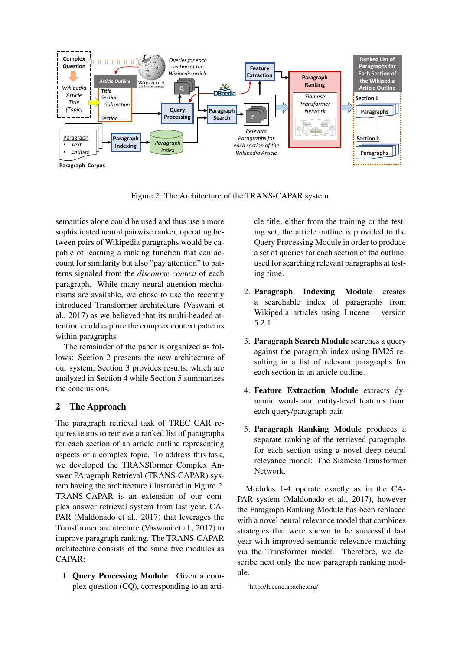

Figure 2: The Architecture of the TRANS-CAPAR system.

semantics alone could be used and thus use a more sophisticated neural pairwise ranker, operating between pairs of Wikipedia paragraphs would be capable of learning a ranking function that can account for similarity but also "pay attention" to patterns signaled from the *discourse context* of each paragraph. While many neural attention mechanisms are available, we chose to use the recently introduced Transformer architecture (Vaswani et al., 2017) as we believed that its multi-headed attention could capture the complex context patterns within paragraphs.

The remainder of the paper is organized as follows: Section 2 presents the new architecture of our system, Section 3 provides results, which are analyzed in Section 4 while Section 5 summarizes the conclusions.

## 2 The Approach

The paragraph retrieval task of TREC CAR requires teams to retrieve a ranked list of paragraphs for each section of an article outline representing aspects of a complex topic. To address this task, we developed the TRANSformer Complex Answer PAragraph Retrieval (TRANS-CAPAR) system having the architecture illustrated in Figure 2. TRANS-CAPAR is an extension of our complex answer retrieval system from last year, CA-PAR (Maldonado et al., 2017) that leverages the Transformer architecture (Vaswani et al., 2017) to improve paragraph ranking. The TRANS-CAPAR architecture consists of the same five modules as CAPAR:

1. Query Processing Module. Given a complex question (CQ), corresponding to an article title, either from the training or the testing set, the article outline is provided to the Query Processing Module in order to produce a set of queries for each section of the outline, used for searching relevant paragraphs at testing time.

- 2. Paragraph Indexing Module creates a searchable index of paragraphs from Wikipedia articles using Lucene  $<sup>1</sup>$  version</sup> 5.2.1.
- 3. Paragraph Search Module searches a query against the paragraph index using BM25 resulting in a list of relevant paragraphs for each section in an article outline.
- 4. Feature Extraction Module extracts dynamic word- and entity-level features from each query/paragraph pair.
- 5. Paragraph Ranking Module produces a separate ranking of the retrieved paragraphs for each section using a novel deep neural relevance model: The Siamese Transformer Network.

Modules 1-4 operate exactly as in the CA-PAR system (Maldonado et al., 2017), however the Paragraph Ranking Module has been replaced with a novel neural relevance model that combines strategies that were shown to be successful last year with improved semantic relevance matching via the Transformer model. Therefore, we describe next only the new paragraph ranking module.

<sup>1</sup> http://lucene.apache.org/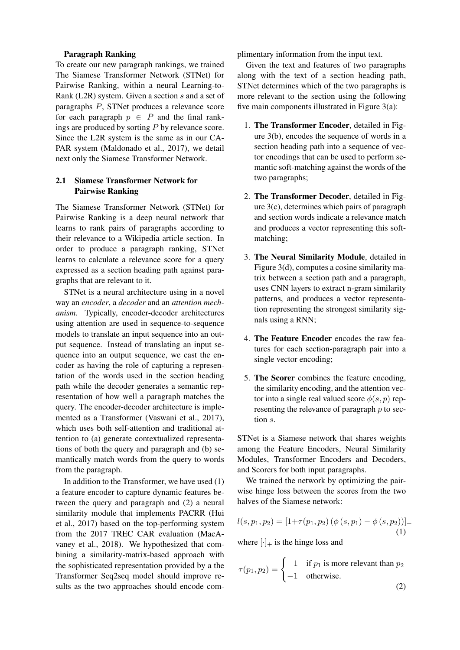#### Paragraph Ranking

To create our new paragraph rankings, we trained The Siamese Transformer Network (STNet) for Pairwise Ranking, within a neural Learning-to-Rank (L2R) system. Given a section s and a set of paragraphs P, STNet produces a relevance score for each paragraph  $p \in P$  and the final rankings are produced by sorting P by relevance score. Since the L2R system is the same as in our CA-PAR system (Maldonado et al., 2017), we detail next only the Siamese Transformer Network.

#### 2.1 Siamese Transformer Network for Pairwise Ranking

The Siamese Transformer Network (STNet) for Pairwise Ranking is a deep neural network that learns to rank pairs of paragraphs according to their relevance to a Wikipedia article section. In order to produce a paragraph ranking, STNet learns to calculate a relevance score for a query expressed as a section heading path against paragraphs that are relevant to it.

STNet is a neural architecture using in a novel way an *encoder*, a *decoder* and an *attention mechanism*. Typically, encoder-decoder architectures using attention are used in sequence-to-sequence models to translate an input sequence into an output sequence. Instead of translating an input sequence into an output sequence, we cast the encoder as having the role of capturing a representation of the words used in the section heading path while the decoder generates a semantic representation of how well a paragraph matches the query. The encoder-decoder architecture is implemented as a Transformer (Vaswani et al., 2017), which uses both self-attention and traditional attention to (a) generate contextualized representations of both the query and paragraph and (b) semantically match words from the query to words from the paragraph.

In addition to the Transformer, we have used (1) a feature encoder to capture dynamic features between the query and paragraph and (2) a neural similarity module that implements PACRR (Hui et al., 2017) based on the top-performing system from the 2017 TREC CAR evaluation (MacAvaney et al., 2018). We hypothesized that combining a similarity-matrix-based approach with the sophisticated representation provided by a the Transformer Seq2seq model should improve results as the two approaches should encode complimentary information from the input text.

Given the text and features of two paragraphs along with the text of a section heading path, STNet determines which of the two paragraphs is more relevant to the section using the following five main components illustrated in Figure 3(a):

- 1. The Transformer Encoder, detailed in Figure 3(b), encodes the sequence of words in a section heading path into a sequence of vector encodings that can be used to perform semantic soft-matching against the words of the two paragraphs;
- 2. The Transformer Decoder, detailed in Figure 3(c), determines which pairs of paragraph and section words indicate a relevance match and produces a vector representing this softmatching;
- 3. The Neural Similarity Module, detailed in Figure 3(d), computes a cosine similarity matrix between a section path and a paragraph, uses CNN layers to extract n-gram similarity patterns, and produces a vector representation representing the strongest similarity signals using a RNN;
- 4. The Feature Encoder encodes the raw features for each section-paragraph pair into a single vector encoding;
- 5. The Scorer combines the feature encoding, the similarity encoding, and the attention vector into a single real valued score  $\phi(s, p)$  representing the relevance of paragraph  $p$  to section s.

STNet is a Siamese network that shares weights among the Feature Encoders, Neural Similarity Modules, Transformer Encoders and Decoders, and Scorers for both input paragraphs.

We trained the network by optimizing the pairwise hinge loss between the scores from the two halves of the Siamese network:

$$
l(s, p_1, p_2) = [1 + \tau(p_1, p_2) (\phi(s, p_1) - \phi(s, p_2))]_+
$$
  
(1)

where  $[\cdot]_+$  is the hinge loss and

$$
\tau(p_1, p_2) = \begin{cases}\n1 & \text{if } p_1 \text{ is more relevant than } p_2 \\
-1 & \text{otherwise.} \n\end{cases}
$$
\n(2)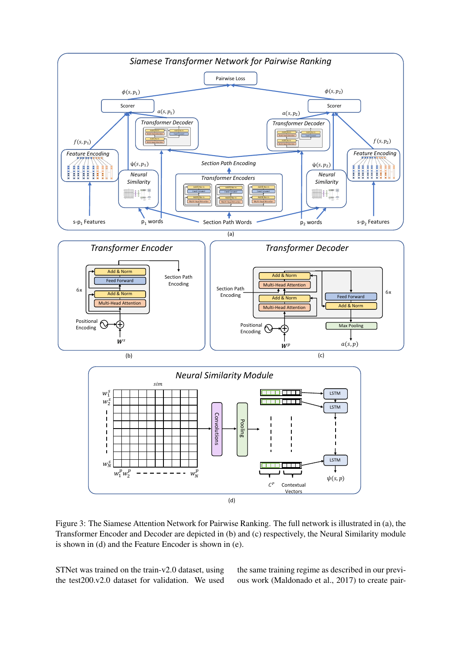

Figure 3: The Siamese Attention Network for Pairwise Ranking. The full network is illustrated in (a), the Transformer Encoder and Decoder are depicted in (b) and (c) respectively, the Neural Similarity module is shown in (d) and the Feature Encoder is shown in (e).

STNet was trained on the train-v2.0 dataset, using the test200.v2.0 dataset for validation. We used the same training regime as described in our previous work (Maldonado et al., 2017) to create pair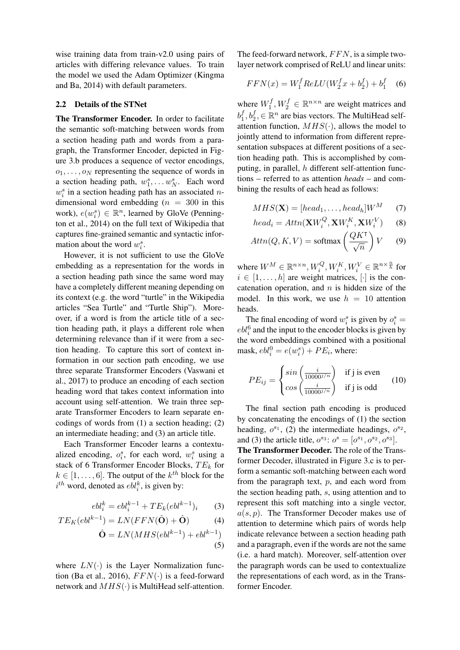wise training data from train-v2.0 using pairs of articles with differing relevance values. To train the model we used the Adam Optimizer (Kingma and Ba, 2014) with default parameters.

#### 2.2 Details of the STNet

The Transformer Encoder. In order to facilitate the semantic soft-matching between words from a section heading path and words from a paragraph, the Transformer Encoder, depicted in Figure 3.b produces a sequence of vector encodings,  $o_1, \ldots, o_N$  representing the sequence of words in a section heading path,  $w_1^s, \ldots w_N^s$ . Each word  $w_i^s$  in a section heading path has an associated ndimensional word embedding  $(n = 300)$  in this work),  $e(w_i^s) \in \mathbb{R}^n$ , learned by GloVe (Pennington et al., 2014) on the full text of Wikipedia that captures fine-grained semantic and syntactic information about the word  $w_i^s$ .

However, it is not sufficient to use the GloVe embedding as a representation for the words in a section heading path since the same word may have a completely different meaning depending on its context (e.g. the word "turtle" in the Wikipedia articles "Sea Turtle" and "Turtle Ship"). Moreover, if a word is from the article title of a section heading path, it plays a different role when determining relevance than if it were from a section heading. To capture this sort of context information in our section path encoding, we use three separate Transformer Encoders (Vaswani et al., 2017) to produce an encoding of each section heading word that takes context information into account using self-attention. We train three separate Transformer Encoders to learn separate encodings of words from (1) a section heading; (2) an intermediate heading; and (3) an article title.

Each Transformer Encoder learns a contextualized encoding,  $o_i^s$ , for each word,  $w_i^s$  using a stack of 6 Transformer Encoder Blocks,  $TE_k$  for  $k \in [1, \ldots, 6]$ . The output of the  $k^{th}$  block for the  $i^{th}$  word, denoted as  $ebl_i^k$ , is given by:

$$
ebl_i^k = ebl_i^{k-1} + TE_k(ebl^{k-1})_i \qquad (3)
$$

$$
TE_K(ebl^{k-1}) = LN(FFN(\hat{\mathbf{O}}) + \hat{\mathbf{O}})
$$
 (4)

$$
\hat{\mathbf{O}} = LN(MHS(ebl^{k-1}) + ebl^{k-1})
$$
\n(5)

where  $LN(\cdot)$  is the Layer Normalization function (Ba et al., 2016),  $FFN(\cdot)$  is a feed-forward network and  $MHS(\cdot)$  is MultiHead self-attention.

The feed-forward network,  $FFN$ , is a simple twolayer network comprised of ReLU and linear units:

$$
FFN(x) = W_1^f ReLU(W_2^f x + b_2^f) + b_1^f \quad (6)
$$

where  $W_1^f$  $t_1^f, W_2^f \in \mathbb{R}^{n \times n}$  are weight matrices and  $b_1^f$  $_1^f, b_2^f, \in \mathbb{R}^n$  are bias vectors. The MultiHead selfattention function,  $MHS(·)$ , allows the model to jointly attend to information from different representation subspaces at different positions of a section heading path. This is accomplished by computing, in parallel, h different self-attention functions – referred to as attention *heads* – and combining the results of each head as follows:

$$
MHS(\mathbf{X}) = [head_1, \dots, head_h]W^M \qquad (7)
$$

$$
head_i = Attn(\mathbf{X}W_i^Q, \mathbf{X}W_i^K, \mathbf{X}W_i^V)
$$
 (8)

$$
Attn(Q, K, V) = \text{softmax}\left(\frac{QK^{\mathsf{T}}}{\sqrt{n}}\right) V \qquad (9)
$$

where  $W^M \in \mathbb{R}^{n \times n}, W^Q_i, W^K_i, W^V_i \in \mathbb{R}^{n \times \frac{n}{h}}$  for  $i \in [1, \ldots, h]$  are weight matrices,  $[\cdot]$  is the concatenation operation, and  $n$  is hidden size of the model. In this work, we use  $h = 10$  attention heads.

The final encoding of word  $w_i^s$  is given by  $o_i^s =$  $ebl_i^6$  and the input to the encoder blocks is given by the word embeddings combined with a positional mask,  $ebl_i^0 = e(w_i^s) + PE_i$ , where:

$$
PE_{ij} = \begin{cases} \sin\left(\frac{i}{10000^{j/n}}\right) & \text{if } j \text{ is even} \\ \cos\left(\frac{i}{10000^{j/n}}\right) & \text{if } j \text{ is odd} \end{cases} \tag{10}
$$

The final section path encoding is produced by concatenating the encodings of (1) the section heading,  $o^{s_1}$ , (2) the intermediate headings,  $o^{s_2}$ , and (3) the article title,  $o^{s_3}$ :  $o^s = [o^{s_1}, o^{s_2}, o^{s_3}]$ . The Transformer Decoder. The role of the Trans-

former Decoder, illustrated in Figure 3.c is to perform a semantic soft-matching between each word from the paragraph text,  $p$ , and each word from the section heading path, s, using attention and to represent this soft matching into a single vector,  $a(s, p)$ . The Transformer Decoder makes use of attention to determine which pairs of words help indicate relevance between a section heading path and a paragraph, even if the words are not the same (i.e. a hard match). Moreover, self-attention over the paragraph words can be used to contextualize the representations of each word, as in the Transformer Encoder.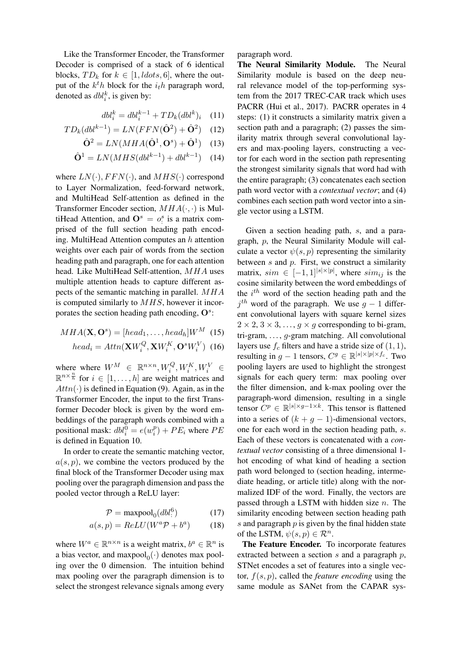Like the Transformer Encoder, the Transformer Decoder is comprised of a stack of 6 identical blocks,  $TD_k$  for  $k \in [1,ldots,6]$ , where the output of the  $k^th$  block for the  $i_th$  paragraph word, denoted as  $dbl_i^k$ , is given by:

$$
dbl_i^k = dbl_i^{k-1} + TD_k(dbl^k)_i \quad (11)
$$

$$
D_k(dbl^{k-1}) = LN(FFN(\hat{\mathbf{O}}^2) + \hat{\mathbf{O}}^2)
$$
 (12)

 $T$ 

$$
\hat{\mathbf{O}}^2 = LN(MHA(\hat{\mathbf{O}}^1, \mathbf{O}^s) + \hat{\mathbf{O}}^1) \quad (13)
$$

$$
\hat{\mathbf{O}}^1 = LN(MHS(dbl^{k-1}) + dbl^{k-1}) \quad (14)
$$

where  $LN(\cdot)$ ,  $FFN(\cdot)$ , and  $MHS(\cdot)$  correspond to Layer Normalization, feed-forward network, and MultiHead Self-attention as defined in the Transformer Encoder section,  $MHA(\cdot, \cdot)$  is MultiHead Attention, and  $\mathbf{O}^s = o^s$  is a matrix comprised of the full section heading path encoding. MultiHead Attention computes an  $h$  attention weights over each pair of words from the section heading path and paragraph, one for each attention head. Like MultiHead Self-attention, MHA uses multiple attention heads to capture different aspects of the semantic matching in parallel. MHA is computed similarly to  $MHS$ , however it incorporates the section heading path encoding,  $O^s$ :

$$
MHA(\mathbf{X}, \mathbf{O}^s) = [head_1, \dots, head_h]W^M \tag{15}
$$

$$
head_i = Attn(\mathbf{X}W_i^Q, \mathbf{X}W_i^K, \mathbf{O}^sW_i^V) \tag{16}
$$

where where  $W^M \in \mathbb{R}^{n \times n}, W_i^Q, W_i^K, W_i^V \in$  $\mathbb{R}^{n \times \frac{n}{h}}$  for  $i \in [1, \dots, h]$  are weight matrices and  $Attn(\cdot)$  is defined in Equation (9). Again, as in the Transformer Encoder, the input to the first Transformer Decoder block is given by the word embeddings of the paragraph words combined with a positional mask:  $dbl_i^0 = e(w_i^p)$  $\binom{p}{i}$  +  $PE_i$  where  $PE$ is defined in Equation 10.

In order to create the semantic matching vector,  $a(s, p)$ , we combine the vectors produced by the final block of the Transformer Decoder using max pooling over the paragraph dimension and pass the pooled vector through a ReLU layer:

$$
\mathcal{P} = \text{maxpool}_0(dbl^6) \tag{17}
$$

$$
a(s,p) = ReLU(W^a \mathcal{P} + b^a)
$$
 (18)

where  $W^a \in \mathbb{R}^{n \times n}$  is a weight matrix,  $b^a \in \mathbb{R}^n$  is a bias vector, and  $maxpool_0(\cdot)$  denotes max pooling over the 0 dimension. The intuition behind max pooling over the paragraph dimension is to select the strongest relevance signals among every paragraph word.

The Neural Similarity Module. The Neural Similarity module is based on the deep neural relevance model of the top-performing system from the 2017 TREC-CAR track which uses PACRR (Hui et al., 2017). PACRR operates in 4 steps: (1) it constructs a similarity matrix given a section path and a paragraph; (2) passes the similarity matrix through several convolutional layers and max-pooling layers, constructing a vector for each word in the section path representing the strongest similarity signals that word had with the entire paragraph; (3) concatenates each section path word vector with a *contextual vector*; and (4) combines each section path word vector into a single vector using a LSTM.

Given a section heading path, s, and a paragraph, p, the Neural Similarity Module will calculate a vector  $\psi(s, p)$  representing the similarity between  $s$  and  $p$ . First, we construct a similarity matrix,  $sim \in [-1,1]^{ |s| \times |p|}$ , where  $sim_{ij}$  is the cosine similarity between the word embeddings of the  $i^{th}$  word of the section heading path and the  $j<sup>th</sup>$  word of the paragraph. We use  $g-1$  different convolutional layers with square kernel sizes  $2 \times 2$ ,  $3 \times 3$ , ...,  $q \times q$  corresponding to bi-gram, tri-gram,  $\ldots$ , g-gram matching. All convolutional layers use  $f_c$  filters and have a stride size of  $(1, 1)$ , resulting in  $g - 1$  tensors,  $C^g \in \mathbb{R}^{|s| \times |p| \times f_c}$ . Two pooling layers are used to highlight the strongest signals for each query term: max pooling over the filter dimension, and k-max pooling over the paragraph-word dimension, resulting in a single tensor  $C^p \in \mathbb{R}^{|s| \times g-1 \times k}$ . This tensor is flattened into a series of  $(k + g - 1)$ -dimensional vectors, one for each word in the section heading path, s. Each of these vectors is concatenated with a *contextual vector* consisting of a three dimensional 1 hot encoding of what kind of heading a section path word belonged to (section heading, intermediate heading, or article title) along with the normalized IDF of the word. Finally, the vectors are passed through a LSTM with hidden size  $n$ . The similarity encoding between section heading path s and paragraph  $p$  is given by the final hidden state of the LSTM,  $\psi(s, p) \in \mathcal{R}^n$ .

The Feature Encoder. To incorporate features extracted between a section  $s$  and a paragraph  $p$ , STNet encodes a set of features into a single vector, f(s, p), called the *feature encoding* using the same module as SANet from the CAPAR sys-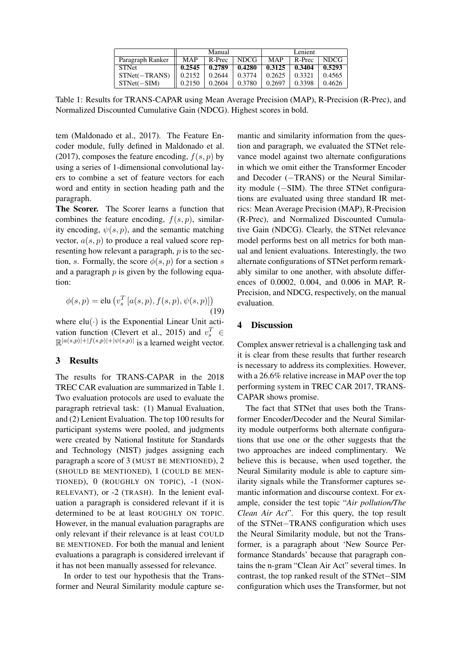|                  | Manual     |        |             | Lenient    |        |             |
|------------------|------------|--------|-------------|------------|--------|-------------|
| Paragraph Ranker | <b>MAP</b> | R-Prec | <b>NDCG</b> | <b>MAP</b> | R-Prec | <b>NDCG</b> |
| <b>STNet</b>     | 0.2545     | 0.2789 | 0.4280      | 0.3125     | 0.3404 | 0.5293      |
| $STNet(-TRANS)$  | 0.2152     | 0.2644 | 0.3774      | 0.2625     | 0.3321 | 0.4565      |
| $STNet(-SIM)$    | 0.2150     | 0.2604 | 0.3780      | 0.2697     | 0.3398 | 0.4626      |

Table 1: Results for TRANS-CAPAR using Mean Average Precision (MAP), R-Precision (R-Prec), and Normalized Discounted Cumulative Gain (NDCG). Highest scores in bold.

tem (Maldonado et al., 2017). The Feature Encoder module, fully defined in Maldonado et al. (2017), composes the feature encoding,  $f(s, p)$  by using a series of 1-dimensional convolutional layers to combine a set of feature vectors for each word and entity in section heading path and the paragraph.

The Scorer. The Scorer learns a function that combines the feature encoding,  $f(s, p)$ , similarity encoding,  $\psi(s, p)$ , and the semantic matching vector,  $a(s, p)$  to produce a real valued score representing how relevant a paragraph,  $p$  is to the section, s. Formally, the score  $\phi(s, p)$  for a section s and a paragraph  $p$  is given by the following equation:

$$
\phi(s,p) = \text{elu}\left(v_s^T\left[a(s,p), f(s,p), \psi(s,p)\right]\right)
$$
\n(19)

where  $elu(·)$  is the Exponential Linear Unit activation function (Clevert et al., 2015) and  $v_s^T \in$  $\mathbb{R}^{|a(s,p)|+|f(s,p)|+|\psi(s,p)|}$  is a learned weight vector.

### 3 Results

The results for TRANS-CAPAR in the 2018 TREC CAR evaluation are summarized in Table 1. Two evaluation protocols are used to evaluate the paragraph retrieval task: (1) Manual Evaluation, and (2) Lenient Evaluation. The top 100 results for participant systems were pooled, and judgments were created by National Institute for Standards and Technology (NIST) judges assigning each paragraph a score of 3 (MUST BE MENTIONED), 2 (SHOULD BE MENTIONED), 1 (COULD BE MEN-TIONED), 0 (ROUGHLY ON TOPIC), -1 (NON-RELEVANT), or -2 (TRASH). In the lenient evaluation a paragraph is considered relevant if it is determined to be at least ROUGHLY ON TOPIC. However, in the manual evaluation paragraphs are only relevant if their relevance is at least COULD BE MENTIONED. For both the manual and lenient evaluations a paragraph is considered irrelevant if it has not been manually assessed for relevance.

In order to test our hypothesis that the Transformer and Neural Similarity module capture se-

mantic and similarity information from the question and paragraph, we evaluated the STNet relevance model against two alternate configurations in which we omit either the Transformer Encoder and Decoder (−TRANS) or the Neural Similarity module (−SIM). The three STNet configurations are evaluated using three standard IR metrics: Mean Average Precision (MAP), R-Precision (R-Prec), and Normalized Discounted Cumulative Gain (NDCG). Clearly, the STNet relevance model performs best on all metrics for both manual and lenient evaluations. Interestingly, the two alternate configurations of STNet perform remarkably similar to one another, with absolute differences of 0.0002, 0.004, and 0.006 in MAP, R-Precision, and NDCG, respectively, on the manual evaluation.

#### 4 Discussion

Complex answer retrieval is a challenging task and it is clear from these results that further research is necessary to address its complexities. However, with a 26.6% relative increase in MAP over the top performing system in TREC CAR 2017, TRANS-CAPAR shows promise.

The fact that STNet that uses both the Transformer Encoder/Decoder and the Neural Similarity module outperforms both alternate configurations that use one or the other suggests that the two approaches are indeed complimentary. We believe this is because, when used together, the Neural Similarity module is able to capture similarity signals while the Transformer captures semantic information and discourse context. For example, consider the test topic "*Air pollution/The Clean Air Act*". For this query, the top result of the STNet−TRANS configuration which uses the Neural Similarity module, but not the Transformer, is a paragraph about 'New Source Performance Standards' because that paragraph contains the n-gram "Clean Air Act" several times. In contrast, the top ranked result of the STNet−SIM configuration which uses the Transformer, but not